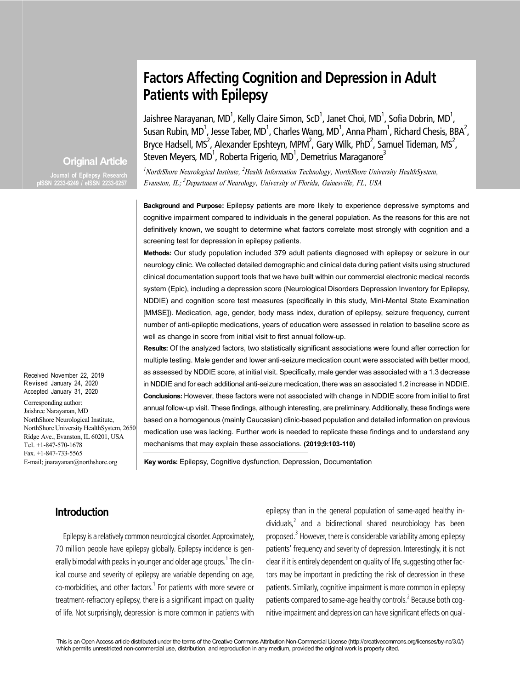# **Factors Affecting Cognition and Depression in Adult Patients with Epilepsy**

Jaishree Narayanan, MD<sup>1</sup>, Kelly Claire Simon, ScD<sup>1</sup>, Janet Choi, MD<sup>1</sup>, Sofia Dobrin, MD<sup>1</sup>, Susan Rubin, MD<sup>1</sup>, Jesse Taber, MD<sup>1</sup>, Charles Wang, MD<sup>1</sup>, Anna Pham<sup>1</sup>, Richard Chesis, BBA<sup>2</sup>, Bryce Hadsell, MS<sup>2</sup>, Alexander Epshteyn, MPM<sup>2</sup>, Gary Wilk, PhD<sup>2</sup>, Samuel Tideman, MS<sup>2</sup>, Steven Meyers, MD<sup>1</sup>, Roberta Frigerio, MD<sup>1</sup>, Demetrius Maraganore<sup>3</sup>

<sup>1</sup> NorthShore Neurological Institute, <sup>2</sup> Health Information Technology, NorthShore University HealthSystem, Evanston, IL;  ${}^{3}$ Department of Neurology, University of Florida, Gainesville, FL, USA

**Background and Purpose:** Epilepsy patients are more likely to experience depressive symptoms and cognitive impairment compared to individuals in the general population. As the reasons for this are not definitively known, we sought to determine what factors correlate most strongly with cognition and a screening test for depression in epilepsy patients.

**Methods:** Our study population included 379 adult patients diagnosed with epilepsy or seizure in our neurology clinic. We collected detailed demographic and clinical data during patient visits using structured clinical documentation support tools that we have built within our commercial electronic medical records system (Epic), including a depression score (Neurological Disorders Depression Inventory for Epilepsy, NDDIE) and cognition score test measures (specifically in this study, Mini-Mental State Examination [MMSE]). Medication, age, gender, body mass index, duration of epilepsy, seizure frequency, current number of anti-epileptic medications, years of education were assessed in relation to baseline score as well as change in score from initial visit to first annual follow-up.

**Results:** Of the analyzed factors, two statistically significant associations were found after correction for multiple testing. Male gender and lower anti-seizure medication count were associated with better mood, as assessed by NDDIE score, at initial visit. Specifically, male gender was associated with a 1.3 decrease in NDDIE and for each additional anti-seizure medication, there was an associated 1.2 increase in NDDIE. **Conclusions:** However, these factors were not associated with change in NDDIE score from initial to first annual follow-up visit. These findings, although interesting, are preliminary. Additionally, these findings were based on a homogenous (mainly Caucasian) clinic-based population and detailed information on previous medication use was lacking. Further work is needed to replicate these findings and to understand any mechanisms that may explain these associations. **(2019;9:103-110)**

**Key words:** Epilepsy, Cognitive dysfunction, Depression, Documentation

# **Introduction**

Epilepsy is a relatively common neurological disorder. Approximately, 70 million people have epilepsy globally. Epilepsy incidence is generally bimodal with peaks in younger and older age groups.<sup>1</sup> The clinical course and severity of epilepsy are variable depending on age, co-morbidities, and other factors. $1$  For patients with more severe or treatment-refractory epilepsy, there is a significant impact on quality of life. Not surprisingly, depression is more common in patients with

epilepsy than in the general population of same-aged healthy individuals, $^2$  and a bidirectional shared neurobiology has been proposed.<sup>3</sup> However, there is considerable variability among epilepsy patients' frequency and severity of depression. Interestingly, it is not clear if it is entirely dependent on quality of life, suggesting other factors may be important in predicting the risk of depression in these patients. Similarly, cognitive impairment is more common in epilepsy patients compared to same-age healthy controls. $^2$  Because both cognitive impairment and depression can have significant effects on qual-

This is an Open Access article distributed under the terms of the Creative Commons Attribution Non-Commercial License (http://creativecommons.org/licenses/by-nc/3.0/) which permits unrestricted non-commercial use, distribution, and reproduction in any medium, provided the original work is properly cited.

Received November 22, 2019 Revised January 24, 2020 Accepted January 31, 2020 Corresponding author: Jaishree Narayanan, MD NorthShore Neurological Institute, NorthShore University HealthSystem, 2650 Ridge Ave., Evanston, IL 60201, USA Tel. +1-847-570-1678 Fax. +1-847-733-5565 E-mail; jnarayanan@northshore.org

 **Original Article Journal of Epilepsy Research pISSN 2233-6249 / eISSN 2233-6257**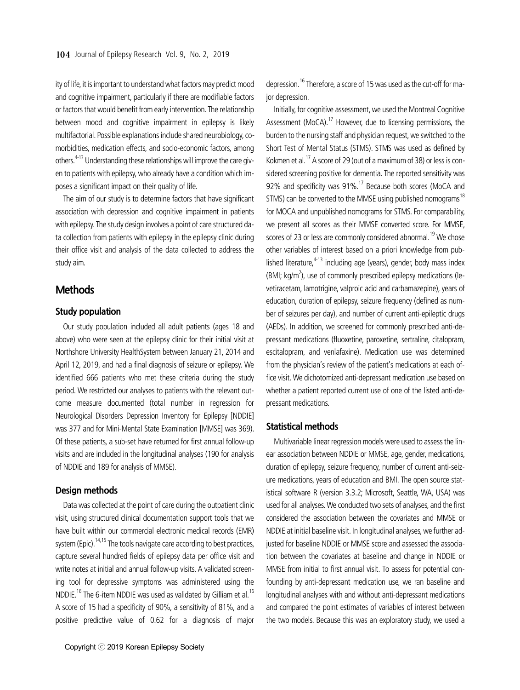ity of life, it is important to understand what factors may predict mood and cognitive impairment, particularly if there are modifiable factors or factors that would benefit from early intervention. The relationship between mood and cognitive impairment in epilepsy is likely multifactorial. Possible explanations include shared neurobiology, comorbidities, medication effects, and socio-economic factors, among others.<sup>4-13</sup> Understanding these relationships will improve the care given to patients with epilepsy, who already have a condition which imposes a significant impact on their quality of life.

The aim of our study is to determine factors that have significant association with depression and cognitive impairment in patients with epilepsy. The study design involves a point of care structured data collection from patients with epilepsy in the epilepsy clinic during their office visit and analysis of the data collected to address the study aim.

## **Methods**

#### **Study population**

Our study population included all adult patients (ages 18 and above) who were seen at the epilepsy clinic for their initial visit at Northshore University HealthSystem between January 21, 2014 and April 12, 2019, and had a final diagnosis of seizure or epilepsy. We identified 666 patients who met these criteria during the study period. We restricted our analyses to patients with the relevant outcome measure documented (total number in regression for Neurological Disorders Depression Inventory for Epilepsy [NDDIE] was 377 and for Mini-Mental State Examination [MMSE] was 369). Of these patients, a sub-set have returned for first annual follow-up visits and are included in the longitudinal analyses (190 for analysis of NDDIE and 189 for analysis of MMSE).

## **Design methods**

Data was collected at the point of care during the outpatient clinic visit, using structured clinical documentation support tools that we have built within our commercial electronic medical records (EMR) system (Epic).<sup>14,15</sup> The tools navigate care according to best practices, capture several hundred fields of epilepsy data per office visit and write notes at initial and annual follow-up visits. A validated screening tool for depressive symptoms was administered using the NDDIE.<sup>16</sup> The 6-item NDDIE was used as validated by Gilliam et al.<sup>16</sup> A score of 15 had a specificity of 90%, a sensitivity of 81%, and a positive predictive value of 0.62 for a diagnosis of major depression.16 Therefore, a score of 15 was used as the cut-off for major depression.

Initially, for cognitive assessment, we used the Montreal Cognitive Assessment (MoCA).<sup>17</sup> However, due to licensing permissions, the burden to the nursing staff and physician request, we switched to the Short Test of Mental Status (STMS). STMS was used as defined by Kokmen et al.<sup>17</sup> A score of 29 (out of a maximum of 38) or less is considered screening positive for dementia. The reported sensitivity was 92% and specificity was 91%.<sup>17</sup> Because both scores (MoCA and STMS) can be converted to the MMSE using published nomograms<sup>18</sup> for MOCA and unpublished nomograms for STMS. For comparability, we present all scores as their MMSE converted score. For MMSE, scores of 23 or less are commonly considered abnormal.<sup>19</sup> We chose other variables of interest based on a priori knowledge from published literature, $4-13$  including age (years), gender, body mass index (BMI; kg/m<sup>2</sup>), use of commonly prescribed epilepsy medications (levetiracetam, lamotrigine, valproic acid and carbamazepine), years of education, duration of epilepsy, seizure frequency (defined as number of seizures per day), and number of current anti-epileptic drugs (AEDs). In addition, we screened for commonly prescribed anti-depressant medications (fluoxetine, paroxetine, sertraline, citalopram, escitalopram, and venlafaxine). Medication use was determined from the physician's review of the patient's medications at each office visit. We dichotomized anti-depressant medication use based on whether a patient reported current use of one of the listed anti-depressant medications.

#### **Statistical methods**

Multivariable linear regression models were used to assess the linear association between NDDIE or MMSE, age, gender, medications, duration of epilepsy, seizure frequency, number of current anti-seizure medications, years of education and BMI. The open source statistical software R (version 3.3.2; Microsoft, Seattle, WA, USA) was used for all analyses. We conducted two sets of analyses, and the first considered the association between the covariates and MMSE or NDDIE at initial baseline visit. In longitudinal analyses, we further adjusted for baseline NDDIE or MMSE score and assessed the association between the covariates at baseline and change in NDDIE or MMSE from initial to first annual visit. To assess for potential confounding by anti-depressant medication use, we ran baseline and longitudinal analyses with and without anti-depressant medications and compared the point estimates of variables of interest between the two models. Because this was an exploratory study, we used a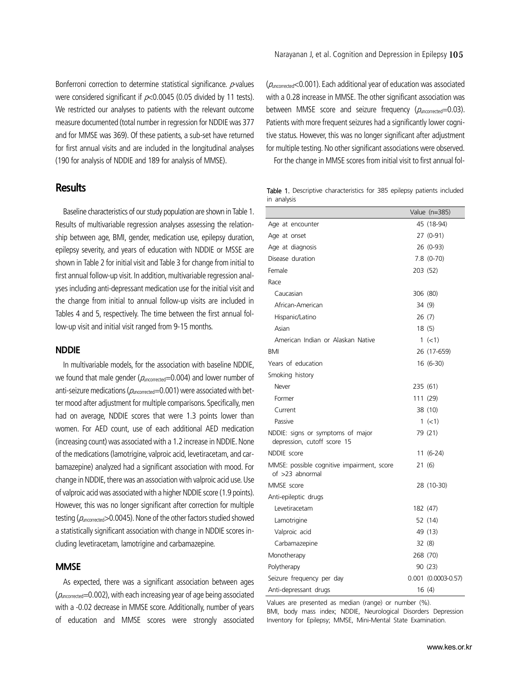Bonferroni correction to determine statistical significance.  $\rho$ -values were considered significant if  $p<0.0045$  (0.05 divided by 11 tests). We restricted our analyses to patients with the relevant outcome measure documented (total number in regression for NDDIE was 377 and for MMSE was 369). Of these patients, a sub-set have returned for first annual visits and are included in the longitudinal analyses (190 for analysis of NDDIE and 189 for analysis of MMSE).

# **Results**

Baseline characteristics of our study population are shown in Table 1. Results of multivariable regression analyses assessing the relationship between age, BMI, gender, medication use, epilepsy duration, epilepsy severity, and years of education with NDDIE or MSSE are shown in Table 2 for initial visit and Table 3 for change from initial to first annual follow-up visit. In addition, multivariable regression analyses including anti-depressant medication use for the initial visit and the change from initial to annual follow-up visits are included in Tables 4 and 5, respectively. The time between the first annual follow-up visit and initial visit ranged from 9-15 months.

#### **NDDIE**

In multivariable models, for the association with baseline NDDIE, we found that male gender ( $\rho_{\text{uncorrected}}$ =0.004) and lower number of anti-seizure medications ( $\rho_{\text{uncorrected}}$ =0.001) were associated with better mood after adjustment for multiple comparisons. Specifically, men had on average, NDDIE scores that were 1.3 points lower than women. For AED count, use of each additional AED medication (increasing count) was associated with a 1.2 increase in NDDIE. None of the medications (lamotrigine, valproic acid, levetiracetam, and carbamazepine) analyzed had a significant association with mood. For change in NDDIE, there was an association with valproic acid use. Use of valproic acid was associated with a higher NDDIE score (1.9 points). However, this was no longer significant after correction for multiple testing ( $\rho_{\text{uncorrected}}$  $>$ 0.0045). None of the other factors studied showed a statistically significant association with change in NDDIE scores including levetiracetam, lamotrigine and carbamazepine.

## **MMSE**

As expected, there was a significant association between ages  $(\rho_{\text{uncorrected}}=0.002)$ , with each increasing year of age being associated with a -0.02 decrease in MMSE score. Additionally, number of years of education and MMSE scores were strongly associated  $(\rho_{\text{uncorrected}}< 0.001)$ . Each additional year of education was associated with a 0.28 increase in MMSE. The other significant association was between MMSE score and seizure frequency  $(\rho_{\text{uncorrected}}=0.03)$ . Patients with more frequent seizures had a significantly lower cognitive status. However, this was no longer significant after adjustment for multiple testing. No other significant associations were observed.

For the change in MMSE scores from initial visit to first annual fol-

Table 1. Descriptive characteristics for 385 epilepsy patients included in analysis

|                                                                  | Value (n=385)             |
|------------------------------------------------------------------|---------------------------|
| Age at encounter                                                 | 45 (18-94)                |
| Age at onset                                                     | 27 (0-91)                 |
| Age at diagnosis                                                 | 26 (0-93)                 |
| Disease duration                                                 | 7.8 (0-70)                |
| Female                                                           | 203 (52)                  |
| Race                                                             |                           |
| Caucasian                                                        | 306 (80)                  |
| African-American                                                 | 34 (9)                    |
| Hispanic/Latino                                                  | 26(7)                     |
| Asian                                                            | 18 (5)                    |
| American Indian or Alaskan Native                                | 1(1)                      |
| BMI                                                              | 26 (17-659)               |
| Years of education                                               | 16 (6-30)                 |
| Smoking history                                                  |                           |
| Never                                                            | 235 (61)                  |
| Former                                                           | 111 (29)                  |
| Current                                                          | 38 (10)                   |
| Passive                                                          | 1(1)                      |
| NDDIE: signs or symptoms of major<br>depression, cutoff score 15 | 79 (21)                   |
| NDDIE score                                                      | $11(6-24)$                |
| MMSE: possible cognitive impairment, score<br>$of >23$ abnormal  | 21(6)                     |
| MMSE score                                                       | 28 (10-30)                |
| Anti-epileptic drugs                                             |                           |
| Levetiracetam                                                    | 182 (47)                  |
| Lamotrigine                                                      | 52 (14)                   |
| Valproic acid                                                    | 49 (13)                   |
| Carbamazepine                                                    | 32 (8)                    |
| Monotherapy                                                      | 268 (70)                  |
| Polytherapy                                                      | 90 (23)                   |
| Seizure frequency per day                                        | $0.001$ $(0.0003 - 0.57)$ |
| Anti-depressant drugs                                            | 16(4)                     |

Values are presented as median (range) or number (%).

BMI, body mass index; NDDIE, Neurological Disorders Depression Inventory for Epilepsy; MMSE, Mini-Mental State Examination.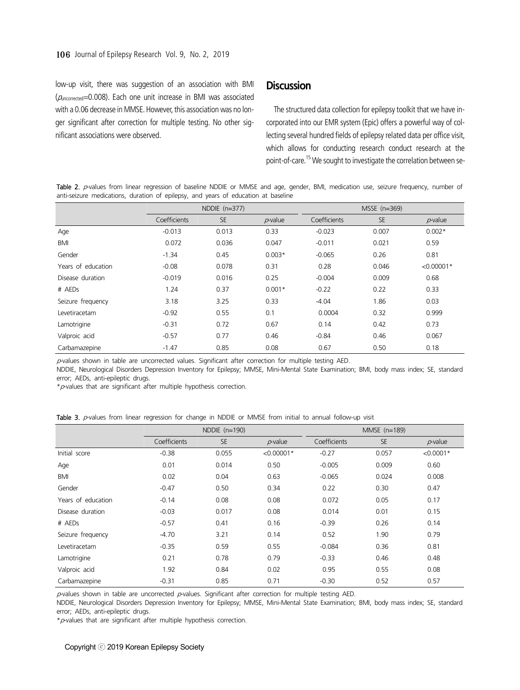low-up visit, there was suggestion of an association with BMI  $(\rho_{\text{uncorrected}}=0.008)$ . Each one unit increase in BMI was associated with a 0.06 decrease in MMSE. However, this association was no longer significant after correction for multiple testing. No other significant associations were observed.

# **Discussion**

The structured data collection for epilepsy toolkit that we have incorporated into our EMR system (Epic) offers a powerful way of collecting several hundred fields of epilepsy related data per office visit, which allows for conducting research conduct research at the point-of-care.<sup>15</sup> We sought to investigate the correlation between se-

Table 2. p-values from linear regression of baseline NDDIE or MMSE and age, gender, BMI, medication use, seizure frequency, number of anti-seizure medications, duration of epilepsy, and years of education at baseline

|                    | NDDIE $(n=377)$ |           |            | MSSE (n=369) |           |              |
|--------------------|-----------------|-----------|------------|--------------|-----------|--------------|
|                    | Coefficients    | <b>SE</b> | $p$ -value | Coefficients | <b>SE</b> | $p$ -value   |
| Age                | $-0.013$        | 0.013     | 0.33       | $-0.023$     | 0.007     | $0.002*$     |
| <b>BMI</b>         | 0.072           | 0.036     | 0.047      | $-0.011$     | 0.021     | 0.59         |
| Gender             | $-1.34$         | 0.45      | $0.003*$   | $-0.065$     | 0.26      | 0.81         |
| Years of education | $-0.08$         | 0.078     | 0.31       | 0.28         | 0.046     | $< 0.00001*$ |
| Disease duration   | $-0.019$        | 0.016     | 0.25       | $-0.004$     | 0.009     | 0.68         |
| # AEDs             | 1.24            | 0.37      | $0.001*$   | $-0.22$      | 0.22      | 0.33         |
| Seizure frequency  | 3.18            | 3.25      | 0.33       | $-4.04$      | 1.86      | 0.03         |
| Levetiracetam      | $-0.92$         | 0.55      | 0.1        | 0.0004       | 0.32      | 0.999        |
| Lamotrigine        | $-0.31$         | 0.72      | 0.67       | 0.14         | 0.42      | 0.73         |
| Valproic acid      | $-0.57$         | 0.77      | 0.46       | $-0.84$      | 0.46      | 0.067        |
| Carbamazepine      | $-1.47$         | 0.85      | 0.08       | 0.67         | 0.50      | 0.18         |

 $p$ -values shown in table are uncorrected values. Significant after correction for multiple testing AED.

NDDIE, Neurological Disorders Depression Inventory for Epilepsy; MMSE, Mini-Mental State Examination; BMI, body mass index; SE, standard error; AEDs, anti-epileptic drugs.

\* $p$ -values that are significant after multiple hypothesis correction.

Table 3.  $p$ -values from linear regression for change in NDDIE or MMSE from initial to annual follow-up visit

|                    |              | NDDIE $(n=190)$ |              |              | MMSE $(n=189)$ |               |
|--------------------|--------------|-----------------|--------------|--------------|----------------|---------------|
|                    | Coefficients | <b>SE</b>       | $p$ -value   | Coefficients | <b>SE</b>      | $\rho$ -value |
| Initial score      | $-0.38$      | 0.055           | $< 0.00001*$ | $-0.27$      | 0.057          | $< 0.0001*$   |
| Age                | 0.01         | 0.014           | 0.50         | $-0.005$     | 0.009          | 0.60          |
| <b>BMI</b>         | 0.02         | 0.04            | 0.63         | $-0.065$     | 0.024          | 0.008         |
| Gender             | $-0.47$      | 0.50            | 0.34         | 0.22         | 0.30           | 0.47          |
| Years of education | $-0.14$      | 0.08            | 0.08         | 0.072        | 0.05           | 0.17          |
| Disease duration   | $-0.03$      | 0.017           | 0.08         | 0.014        | 0.01           | 0.15          |
| # AEDs             | $-0.57$      | 0.41            | 0.16         | $-0.39$      | 0.26           | 0.14          |
| Seizure frequency  | $-4.70$      | 3.21            | 0.14         | 0.52         | 1.90           | 0.79          |
| Levetiracetam      | $-0.35$      | 0.59            | 0.55         | $-0.084$     | 0.36           | 0.81          |
| Lamotrigine        | 0.21         | 0.78            | 0.79         | $-0.33$      | 0.46           | 0.48          |
| Valproic acid      | 1.92         | 0.84            | 0.02         | 0.95         | 0.55           | 0.08          |
| Carbamazepine      | $-0.31$      | 0.85            | 0.71         | $-0.30$      | 0.52           | 0.57          |

 $p$ -values shown in table are uncorrected  $p$ -values. Significant after correction for multiple testing AED.

NDDIE, Neurological Disorders Depression Inventory for Epilepsy; MMSE, Mini-Mental State Examination; BMI, body mass index; SE, standard error; AEDs, anti-epileptic drugs.

\* $p$ -values that are significant after multiple hypothesis correction.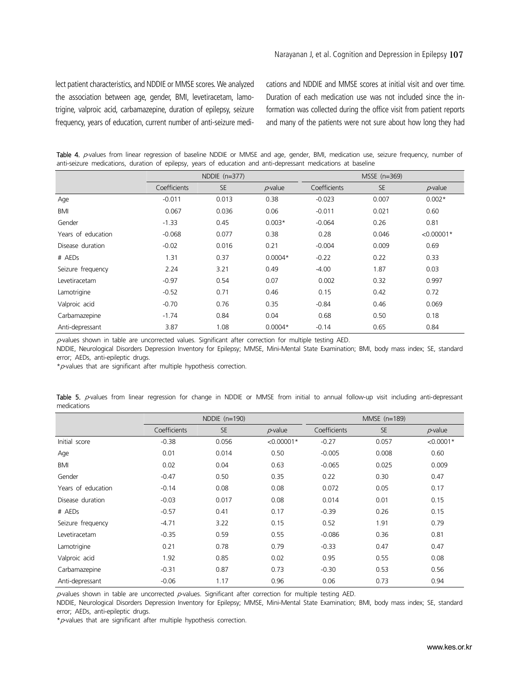lect patient characteristics, and NDDIE or MMSE scores. We analyzed the association between age, gender, BMI, levetiracetam, lamotrigine, valproic acid, carbamazepine, duration of epilepsy, seizure frequency, years of education, current number of anti-seizure medications and NDDIE and MMSE scores at initial visit and over time. Duration of each medication use was not included since the information was collected during the office visit from patient reports and many of the patients were not sure about how long they had

Table 4. *p*-values from linear regression of baseline NDDIE or MMSE and age, gender, BMI, medication use, seizure frequency, number of anti-seizure medications, duration of epilepsy, years of education and anti-depressant medications at baseline

|                    | NDDIE $(n=377)$ |           |            | MSSE (n=369) |           |              |
|--------------------|-----------------|-----------|------------|--------------|-----------|--------------|
|                    | Coefficients    | <b>SE</b> | $p$ -value | Coefficients | <b>SE</b> | $p$ -value   |
| Age                | $-0.011$        | 0.013     | 0.38       | $-0.023$     | 0.007     | $0.002*$     |
| BMI                | 0.067           | 0.036     | 0.06       | $-0.011$     | 0.021     | 0.60         |
| Gender             | $-1.33$         | 0.45      | $0.003*$   | $-0.064$     | 0.26      | 0.81         |
| Years of education | $-0.068$        | 0.077     | 0.38       | 0.28         | 0.046     | $< 0.00001*$ |
| Disease duration   | $-0.02$         | 0.016     | 0.21       | $-0.004$     | 0.009     | 0.69         |
| # AEDs             | 1.31            | 0.37      | $0.0004*$  | $-0.22$      | 0.22      | 0.33         |
| Seizure frequency  | 2.24            | 3.21      | 0.49       | $-4.00$      | 1.87      | 0.03         |
| Levetiracetam      | $-0.97$         | 0.54      | 0.07       | 0.002        | 0.32      | 0.997        |
| Lamotrigine        | $-0.52$         | 0.71      | 0.46       | 0.15         | 0.42      | 0.72         |
| Valproic acid      | $-0.70$         | 0.76      | 0.35       | $-0.84$      | 0.46      | 0.069        |
| Carbamazepine      | $-1.74$         | 0.84      | 0.04       | 0.68         | 0.50      | 0.18         |
| Anti-depressant    | 3.87            | 1.08      | $0.0004*$  | $-0.14$      | 0.65      | 0.84         |

 $p$ -values shown in table are uncorrected values. Significant after correction for multiple testing AED.

NDDIE, Neurological Disorders Depression Inventory for Epilepsy; MMSE, Mini-Mental State Examination; BMI, body mass index; SE, standard error; AEDs, anti-epileptic drugs.

 $*$ *p*-values that are significant after multiple hypothesis correction.

Table 5.  $\rho$ -values from linear regression for change in NDDIE or MMSE from initial to annual follow-up visit including anti-depressant medications

|                    | NDDIE $(n=190)$ |           |               | MMSE $(n=189)$ |           |             |
|--------------------|-----------------|-----------|---------------|----------------|-----------|-------------|
|                    | Coefficients    | <b>SE</b> | $\rho$ -value | Coefficients   | <b>SE</b> | $p$ -value  |
| Initial score      | $-0.38$         | 0.056     | $< 0.00001*$  | $-0.27$        | 0.057     | $< 0.0001*$ |
| Age                | 0.01            | 0.014     | 0.50          | $-0.005$       | 0.008     | 0.60        |
| BMI                | 0.02            | 0.04      | 0.63          | $-0.065$       | 0.025     | 0.009       |
| Gender             | $-0.47$         | 0.50      | 0.35          | 0.22           | 0.30      | 0.47        |
| Years of education | $-0.14$         | 0.08      | 0.08          | 0.072          | 0.05      | 0.17        |
| Disease duration   | $-0.03$         | 0.017     | 0.08          | 0.014          | 0.01      | 0.15        |
| # AEDs             | $-0.57$         | 0.41      | 0.17          | $-0.39$        | 0.26      | 0.15        |
| Seizure frequency  | $-4.71$         | 3.22      | 0.15          | 0.52           | 1.91      | 0.79        |
| Levetiracetam      | $-0.35$         | 0.59      | 0.55          | $-0.086$       | 0.36      | 0.81        |
| Lamotrigine        | 0.21            | 0.78      | 0.79          | $-0.33$        | 0.47      | 0.47        |
| Valproic acid      | 1.92            | 0.85      | 0.02          | 0.95           | 0.55      | 0.08        |
| Carbamazepine      | $-0.31$         | 0.87      | 0.73          | $-0.30$        | 0.53      | 0.56        |
| Anti-depressant    | $-0.06$         | 1.17      | 0.96          | 0.06           | 0.73      | 0.94        |

 $p$ -values shown in table are uncorrected  $p$ -values. Significant after correction for multiple testing AED.

NDDIE, Neurological Disorders Depression Inventory for Epilepsy; MMSE, Mini-Mental State Examination; BMI, body mass index; SE, standard error; AEDs, anti-epileptic drugs.

 $*$ *p*-values that are significant after multiple hypothesis correction.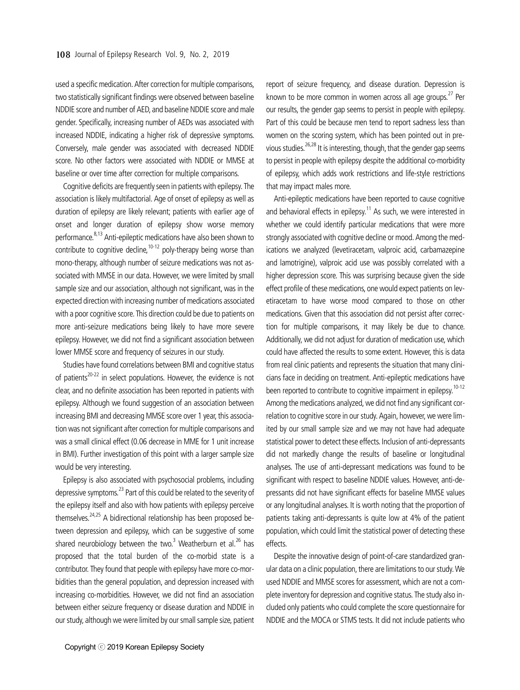used a specific medication. After correction for multiple comparisons, two statistically significant findings were observed between baseline NDDIE score and number of AED, and baseline NDDIE score and male gender. Specifically, increasing number of AEDs was associated with increased NDDIE, indicating a higher risk of depressive symptoms. Conversely, male gender was associated with decreased NDDIE score. No other factors were associated with NDDIE or MMSE at baseline or over time after correction for multiple comparisons.

Cognitive deficits are frequently seen in patients with epilepsy. The association is likely multifactorial. Age of onset of epilepsy as well as duration of epilepsy are likely relevant; patients with earlier age of onset and longer duration of epilepsy show worse memory performance.<sup>8,13</sup> Anti-epileptic medications have also been shown to contribute to cognitive decline,  $10-12$  poly-therapy being worse than mono-therapy, although number of seizure medications was not associated with MMSE in our data. However, we were limited by small sample size and our association, although not significant, was in the expected direction with increasing number of medications associated with a poor cognitive score. This direction could be due to patients on more anti-seizure medications being likely to have more severe epilepsy. However, we did not find a significant association between lower MMSE score and frequency of seizures in our study.

Studies have found correlations between BMI and cognitive status of patients<sup>20-22</sup> in select populations. However, the evidence is not clear, and no definite association has been reported in patients with epilepsy. Although we found suggestion of an association between increasing BMI and decreasing MMSE score over 1 year, this association was not significant after correction for multiple comparisons and was a small clinical effect (0.06 decrease in MME for 1 unit increase in BMI). Further investigation of this point with a larger sample size would be very interesting.

Epilepsy is also associated with psychosocial problems, including depressive symptoms.<sup>23</sup> Part of this could be related to the severity of the epilepsy itself and also with how patients with epilepsy perceive themselves.<sup>24,25</sup> A bidirectional relationship has been proposed between depression and epilepsy, which can be suggestive of some shared neurobiology between the two. $3$  Weatherburn et al.  $26$  has proposed that the total burden of the co-morbid state is a contributor. They found that people with epilepsy have more co-morbidities than the general population, and depression increased with increasing co-morbidities. However, we did not find an association between either seizure frequency or disease duration and NDDIE in our study, although we were limited by our small sample size, patient

report of seizure frequency, and disease duration. Depression is known to be more common in women across all age groups. $^{27}$  Per our results, the gender gap seems to persist in people with epilepsy. Part of this could be because men tend to report sadness less than women on the scoring system, which has been pointed out in previous studies.  $26,28$  It is interesting, though, that the gender gap seems to persist in people with epilepsy despite the additional co-morbidity of epilepsy, which adds work restrictions and life-style restrictions that may impact males more.

Anti-epileptic medications have been reported to cause cognitive and behavioral effects in epilepsy.<sup>11</sup> As such, we were interested in whether we could identify particular medications that were more strongly associated with cognitive decline or mood. Among the medications we analyzed (levetiracetam, valproic acid, carbamazepine and lamotrigine), valproic acid use was possibly correlated with a higher depression score. This was surprising because given the side effect profile of these medications, one would expect patients on levetiracetam to have worse mood compared to those on other medications. Given that this association did not persist after correction for multiple comparisons, it may likely be due to chance. Additionally, we did not adjust for duration of medication use, which could have affected the results to some extent. However, this is data from real clinic patients and represents the situation that many clinicians face in deciding on treatment. Anti-epileptic medications have been reported to contribute to cognitive impairment in epilepsy.  $10-12$ Among the medications analyzed, we did not find any significant correlation to cognitive score in our study. Again, however, we were limited by our small sample size and we may not have had adequate statistical power to detect these effects. Inclusion of anti-depressants did not markedly change the results of baseline or longitudinal analyses. The use of anti-depressant medications was found to be significant with respect to baseline NDDIE values. However, anti-depressants did not have significant effects for baseline MMSE values or any longitudinal analyses. It is worth noting that the proportion of patients taking anti-depressants is quite low at 4% of the patient population, which could limit the statistical power of detecting these effects.

Despite the innovative design of point-of-care standardized granular data on a clinic population, there are limitations to our study. We used NDDIE and MMSE scores for assessment, which are not a complete inventory for depression and cognitive status. The study also included only patients who could complete the score questionnaire for NDDIE and the MOCA or STMS tests. It did not include patients who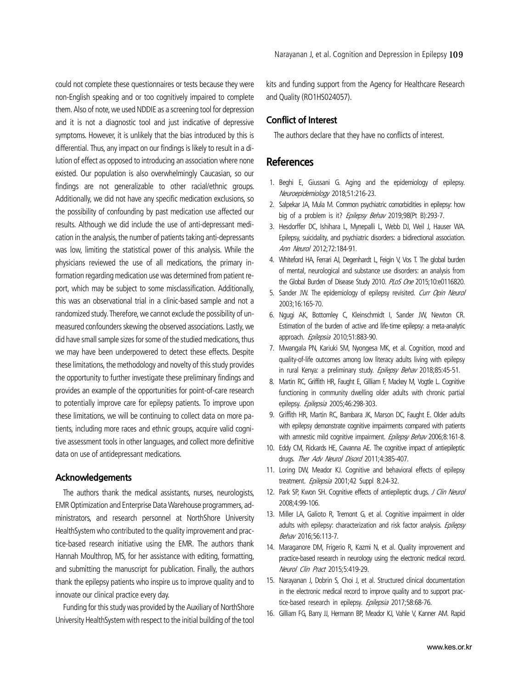could not complete these questionnaires or tests because they were non-English speaking and or too cognitively impaired to complete them. Also of note, we used NDDIE as a screening tool for depression and it is not a diagnostic tool and just indicative of depressive symptoms. However, it is unlikely that the bias introduced by this is differential. Thus, any impact on our findings is likely to result in a dilution of effect as opposed to introducing an association where none existed. Our population is also overwhelmingly Caucasian, so our findings are not generalizable to other racial/ethnic groups. Additionally, we did not have any specific medication exclusions, so the possibility of confounding by past medication use affected our results. Although we did include the use of anti-depressant medication in the analysis, the number of patients taking anti-depressants was low, limiting the statistical power of this analysis. While the physicians reviewed the use of all medications, the primary information regarding medication use was determined from patient report, which may be subject to some misclassification. Additionally, this was an observational trial in a clinic-based sample and not a randomized study. Therefore, we cannot exclude the possibility of unmeasured confounders skewing the observed associations. Lastly, we did have small sample sizes for some of the studied medications, thus we may have been underpowered to detect these effects. Despite these limitations, the methodology and novelty of this study provides the opportunity to further investigate these preliminary findings and provides an example of the opportunities for point-of-care research to potentially improve care for epilepsy patients. To improve upon these limitations, we will be continuing to collect data on more patients, including more races and ethnic groups, acquire valid cognitive assessment tools in other languages, and collect more definitive data on use of antidepressant medications.

## **Acknowledgements**

The authors thank the medical assistants, nurses, neurologists, EMR Optimization and Enterprise Data Warehouse programmers, administrators, and research personnel at NorthShore University HealthSystem who contributed to the quality improvement and practice-based research initiative using the EMR. The authors thank Hannah Moulthrop, MS, for her assistance with editing, formatting, and submitting the manuscript for publication. Finally, the authors thank the epilepsy patients who inspire us to improve quality and to innovate our clinical practice every day.

Funding for this study was provided by the Auxiliary of NorthShore University HealthSystem with respect to the initial building of the tool kits and funding support from the Agency for Healthcare Research and Quality (RO1HS024057).

#### **Conflict of Interest**

The authors declare that they have no conflicts of interest.

## **References**

- 1. Beghi E, Giussani G. Aging and the epidemiology of epilepsy. Neuroepidemiology 2018;51:216-23.
- 2. Salpekar JA, Mula M. Common psychiatric comorbidities in epilepsy: how big of a problem is it? Epilepsy Behav 2019;98(Pt B):293-7.
- 3. Hesdorffer DC, Ishihara L, Mynepalli L, Webb DJ, Weil J, Hauser WA. Epilepsy, suicidality, and psychiatric disorders: a bidirectional association. Ann Neurol 2012:72:184-91.
- 4. Whiteford HA, Ferrari AJ, Degenhardt L, Feigin V, Vos T. The global burden of mental, neurological and substance use disorders: an analysis from the Global Burden of Disease Study 2010. PLoS One 2015;10:e0116820.
- 5. Sander JW. The epidemiology of epilepsy revisited. Curr Opin Neurol 2003;16:165-70.
- 6. Ngugi AK, Bottomley C, Kleinschmidt I, Sander JW, Newton CR. Estimation of the burden of active and life-time epilepsy: a meta-analytic approach. Epilepsia 2010;51:883-90.
- 7. Mwangala PN, Kariuki SM, Nyongesa MK, et al. Cognition, mood and quality-of-life outcomes among low literacy adults living with epilepsy in rural Kenya: a preliminary study. Epilepsy Behav 2018;85:45-51.
- 8. Martin RC, Griffith HR, Faught E, Gilliam F, Mackey M, Vogtle L. Cognitive functioning in community dwelling older adults with chronic partial epilepsy. Epilepsia 2005;46:298-303.
- 9. Griffith HR, Martin RC, Bambara JK, Marson DC, Faught E. Older adults with epilepsy demonstrate cognitive impairments compared with patients with amnestic mild cognitive impairment. Epilepsy Behav 2006;8:161-8.
- 10. Eddy CM, Rickards HE, Cavanna AE. The cognitive impact of antiepileptic drugs. Ther Adv Neurol Disord 2011;4:385-407.
- 11. Loring DW, Meador KJ. Cognitive and behavioral effects of epilepsy treatment. Epilepsia 2001;42 Suppl 8:24-32.
- 12. Park SP, Kwon SH. Cognitive effects of antiepileptic drugs. J Clin Neurol 2008;4:99-106.
- 13. Miller LA, Galioto R, Tremont G, et al. Cognitive impairment in older adults with epilepsy: characterization and risk factor analysis. Epilepsy Behav 2016;56:113-7.
- 14. Maraganore DM, Frigerio R, Kazmi N, et al. Quality improvement and practice-based research in neurology using the electronic medical record. Neurol Clin Pract 2015;5:419-29.
- 15. Narayanan J, Dobrin S, Choi J, et al. Structured clinical documentation in the electronic medical record to improve quality and to support practice-based research in epilepsy. Epilepsia 2017;58:68-76.
- 16. Gilliam FG, Barry JJ, Hermann BP, Meador KJ, Vahle V, Kanner AM. Rapid